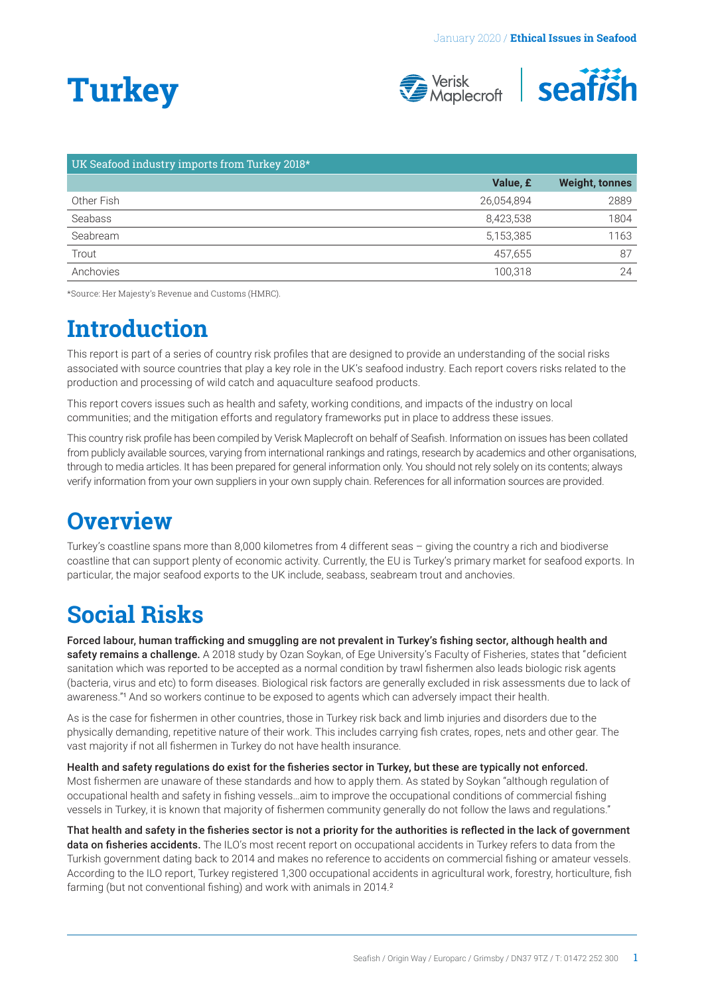# <span id="page-0-0"></span>**Turkey**



| UK Seafood industry imports from Turkey 2018* |            |                       |
|-----------------------------------------------|------------|-----------------------|
|                                               | Value, £   | <b>Weight, tonnes</b> |
| Other Fish                                    | 26,054,894 | 2889                  |
| Seabass                                       | 8,423,538  | 1804                  |
| Seabream                                      | 5,153,385  | 1163                  |
| Trout                                         | 457.655    | 87                    |
| Anchovies                                     | 100.318    | 24                    |

\*Source: Her Majesty's Revenue and Customs (HMRC).

### **Introduction**

This report is part of a series of country risk profiles that are designed to provide an understanding of the social risks associated with source countries that play a key role in the UK's seafood industry. Each report covers risks related to the production and processing of wild catch and aquaculture seafood products.

This report covers issues such as health and safety, working conditions, and impacts of the industry on local communities; and the mitigation efforts and regulatory frameworks put in place to address these issues.

This country risk profile has been compiled by Verisk Maplecroft on behalf of Seafish. Information on issues has been collated from publicly available sources, varying from international rankings and ratings, research by academics and other organisations, through to media articles. It has been prepared for general information only. You should not rely solely on its contents; always verify information from your own suppliers in your own supply chain. References for all information sources are provided.

# **Overview**

Turkey's coastline spans more than 8,000 kilometres from 4 different seas – giving the country a rich and biodiverse coastline that can support plenty of economic activity. Currently, the EU is Turkey's primary market for seafood exports. In particular, the major seafood exports to the UK include, seabass, seabream trout and anchovies.

# **Social Risks**

Forced labour, human trafficking and smuggling are not prevalent in Turkey's fishing sector, although health and safety remains a challenge. A 2018 study by Ozan Soykan, of Ege University's Faculty of Fisheries, states that "deficient sanitation which was reported to be accepted as a normal condition by trawl fishermen also leads biologic risk agents (bacteria, virus and etc) to form diseases. Biological risk factors are generally excluded in risk assessments due to lack of awareness."[1](#page-3-0) And so workers continue to be exposed to agents which can adversely impact their health.

As is the case for fishermen in other countries, those in Turkey risk back and limb injuries and disorders due to the physically demanding, repetitive nature of their work. This includes carrying fish crates, ropes, nets and other gear. The vast majority if not all fishermen in Turkey do not have health insurance.

Health and safety regulations do exist for the fisheries sector in Turkey, but these are typically not enforced. Most fishermen are unaware of these standards and how to apply them. As stated by Soykan "although regulation of occupational health and safety in fishing vessels…aim to improve the occupational conditions of commercial fishing vessels in Turkey, it is known that majority of fishermen community generally do not follow the laws and regulations."

That health and safety in the fisheries sector is not a priority for the authorities is reflected in the lack of government data on fisheries accidents. The ILO's most recent report on occupational accidents in Turkey refers to data from the Turkish government dating back to 2014 and makes no reference to accidents on commercial fishing or amateur vessels. According to the ILO report, Turkey registered 1,300 occupational accidents in agricultural work, forestry, horticulture, fish farming (but not conventional fishing) and work with animals in [2](#page-3-0)014.<sup>2</sup>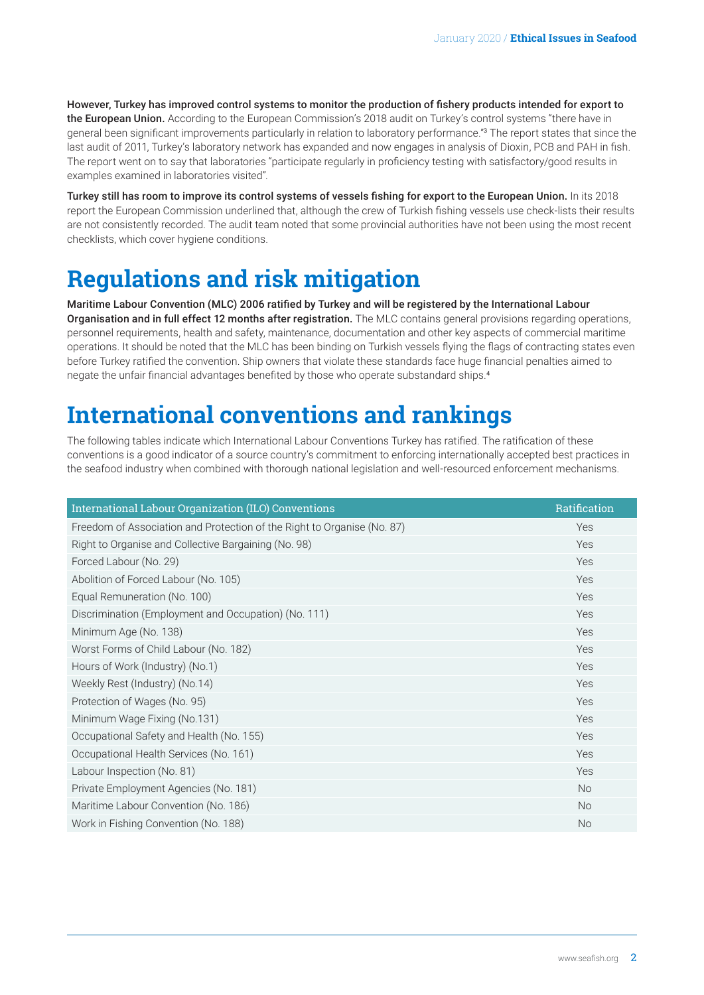<span id="page-1-0"></span>However, Turkey has improved control systems to monitor the production of fishery products intended for export to the European Union. According to the European Commission's 2018 audit on Turkey's control systems "there have in general been significant improvements particularly in relation to laboratory performance."[3](#page-3-0) The report states that since the last audit of 2011, Turkey's laboratory network has expanded and now engages in analysis of Dioxin, PCB and PAH in fish. The report went on to say that laboratories "participate regularly in proficiency testing with satisfactory/good results in examples examined in laboratories visited".

Turkey still has room to improve its control systems of vessels fishing for export to the European Union. In its 2018 report the European Commission underlined that, although the crew of Turkish fishing vessels use check-lists their results are not consistently recorded. The audit team noted that some provincial authorities have not been using the most recent checklists, which cover hygiene conditions.

### **Regulations and risk mitigation**

Maritime Labour Convention (MLC) 2006 ratified by Turkey and will be registered by the International Labour Organisation and in full effect 12 months after registration. The MLC contains general provisions regarding operations, personnel requirements, health and safety, maintenance, documentation and other key aspects of commercial maritime operations. It should be noted that the MLC has been binding on Turkish vessels flying the flags of contracting states even before Turkey ratified the convention. Ship owners that violate these standards face huge financial penalties aimed to negate the unfair financial advantages benefited by those who operate substandard ships.[4](#page-3-0)

### **International conventions and rankings**

The following tables indicate which International Labour Conventions Turkey has ratified. The ratification of these conventions is a good indicator of a source country's commitment to enforcing internationally accepted best practices in the seafood industry when combined with thorough national legislation and well-resourced enforcement mechanisms.

| International Labour Organization (ILO) Conventions                     | Ratification |
|-------------------------------------------------------------------------|--------------|
| Freedom of Association and Protection of the Right to Organise (No. 87) | Yes          |
| Right to Organise and Collective Bargaining (No. 98)                    | Yes          |
| Forced Labour (No. 29)                                                  | Yes          |
| Abolition of Forced Labour (No. 105)                                    | Yes          |
| Equal Remuneration (No. 100)                                            | Yes          |
| Discrimination (Employment and Occupation) (No. 111)                    | Yes          |
| Minimum Age (No. 138)                                                   | Yes          |
| Worst Forms of Child Labour (No. 182)                                   | Yes          |
| Hours of Work (Industry) (No.1)                                         | Yes          |
| Weekly Rest (Industry) (No.14)                                          | Yes          |
| Protection of Wages (No. 95)                                            | Yes          |
| Minimum Wage Fixing (No.131)                                            | Yes          |
| Occupational Safety and Health (No. 155)                                | Yes          |
| Occupational Health Services (No. 161)                                  | Yes          |
| Labour Inspection (No. 81)                                              | Yes          |
| Private Employment Agencies (No. 181)                                   | <b>No</b>    |
| Maritime Labour Convention (No. 186)                                    | <b>No</b>    |
| Work in Fishing Convention (No. 188)                                    | <b>No</b>    |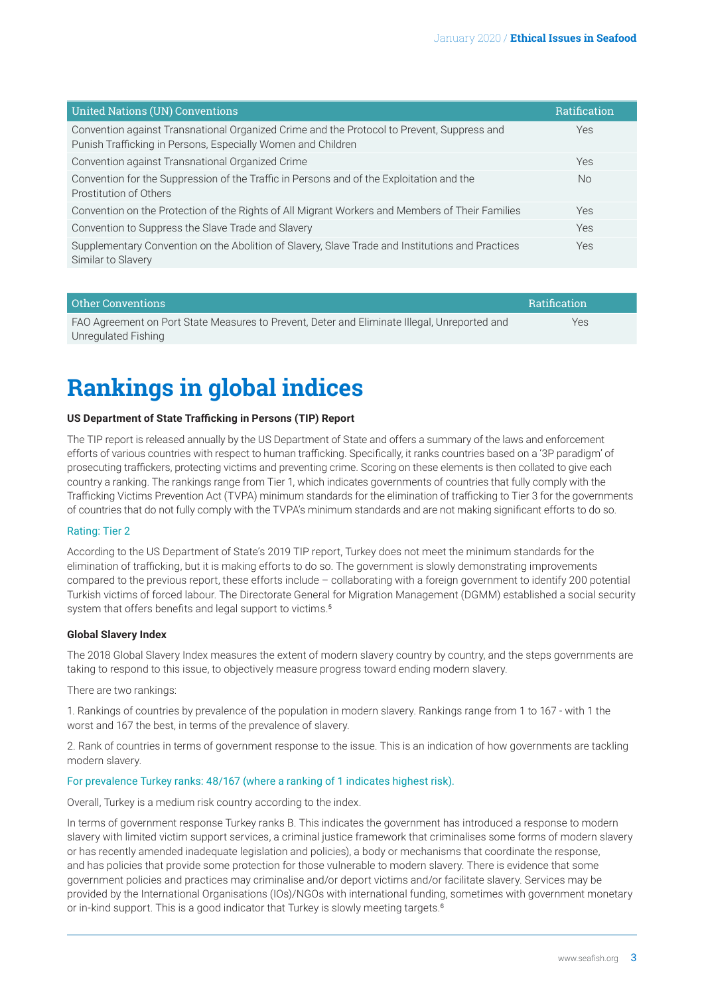<span id="page-2-0"></span>

| <b>United Nations (UN) Conventions</b>                                                                                                                     | <b>Ratification</b> |
|------------------------------------------------------------------------------------------------------------------------------------------------------------|---------------------|
| Convention against Transnational Organized Crime and the Protocol to Prevent, Suppress and<br>Punish Trafficking in Persons, Especially Women and Children | Yes                 |
| Convention against Transnational Organized Crime                                                                                                           | Yes                 |
| Convention for the Suppression of the Traffic in Persons and of the Exploitation and the<br>Prostitution of Others                                         | No.                 |
| Convention on the Protection of the Rights of All Migrant Workers and Members of Their Families                                                            | Yes                 |
| Convention to Suppress the Slave Trade and Slavery                                                                                                         | Yes                 |
| Supplementary Convention on the Abolition of Slavery, Slave Trade and Institutions and Practices<br>Similar to Slavery                                     | Yes                 |
|                                                                                                                                                            |                     |

| <b>Other Conventions</b>                                                                     | <b>Ratification</b> |
|----------------------------------------------------------------------------------------------|---------------------|
| FAO Agreement on Port State Measures to Prevent, Deter and Eliminate Illegal, Unreported and | Yes                 |
| Unregulated Fishing                                                                          |                     |

# **Rankings in global indices**

#### **US Department of State Trafficking in Persons (TIP) Report**

The TIP report is released annually by the US Department of State and offers a summary of the laws and enforcement efforts of various countries with respect to human trafficking. Specifically, it ranks countries based on a '3P paradigm' of prosecuting traffickers, protecting victims and preventing crime. Scoring on these elements is then collated to give each country a ranking. The rankings range from Tier 1, which indicates governments of countries that fully comply with the Trafficking Victims Prevention Act (TVPA) minimum standards for the elimination of trafficking to Tier 3 for the governments of countries that do not fully comply with the TVPA's minimum standards and are not making significant efforts to do so.

#### Rating: Tier 2

According to the US Department of State's 2019 TIP report, Turkey does not meet the minimum standards for the elimination of trafficking, but it is making efforts to do so. The government is slowly demonstrating improvements compared to the previous report, these efforts include – collaborating with a foreign government to identify 200 potential Turkish victims of forced labour. The Directorate General for Migration Management (DGMM) established a social security system that offers benefits and legal support to victims.<sup>[5](#page-3-0)</sup>

#### **Global Slavery Index**

The 2018 Global Slavery Index measures the extent of modern slavery country by country, and the steps governments are taking to respond to this issue, to objectively measure progress toward ending modern slavery.

#### There are two rankings:

1. Rankings of countries by prevalence of the population in modern slavery. Rankings range from 1 to 167 - with 1 the worst and 167 the best, in terms of the prevalence of slavery.

2. Rank of countries in terms of government response to the issue. This is an indication of how governments are tackling modern slavery.

#### For prevalence Turkey ranks: 48/167 (where a ranking of 1 indicates highest risk).

Overall, Turkey is a medium risk country according to the index.

In terms of government response Turkey ranks B. This indicates the government has introduced a response to modern slavery with limited victim support services, a criminal justice framework that criminalises some forms of modern slavery or has recently amended inadequate legislation and policies), a body or mechanisms that coordinate the response, and has policies that provide some protection for those vulnerable to modern slavery. There is evidence that some government policies and practices may criminalise and/or deport victims and/or facilitate slavery. Services may be provided by the International Organisations (IOs)/NGOs with international funding, sometimes with government monetary or in-kind support. This is a good indicator that Turkey is slowly meeting targets.<sup>[6](#page-3-0)</sup>